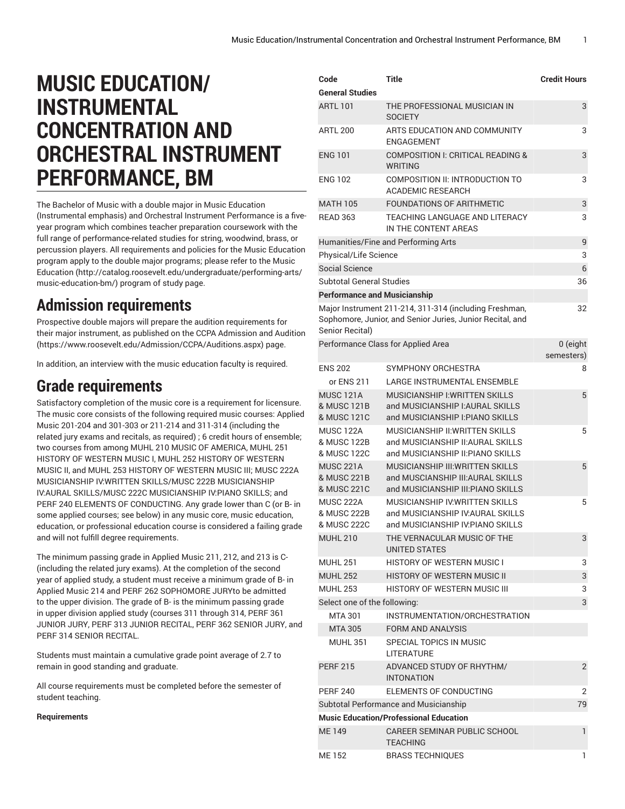# **MUSIC EDUCATION/ INSTRUMENTAL CONCENTRATION AND ORCHESTRAL INSTRUMENT PERFORMANCE, BM**

The Bachelor of Music with a double major in Music Education (Instrumental emphasis) and Orchestral Instrument Performance is a fiveyear program which combines teacher preparation coursework with the full range of performance-related studies for string, woodwind, brass, or percussion players. All requirements and policies for the Music Education program apply to the double major programs; please refer to the [Music](http://catalog.roosevelt.edu/undergraduate/performing-arts/music-education-bm/) [Education](http://catalog.roosevelt.edu/undergraduate/performing-arts/music-education-bm/) ([http://catalog.roosevelt.edu/undergraduate/performing-arts/](http://catalog.roosevelt.edu/undergraduate/performing-arts/music-education-bm/) [music-education-bm/\)](http://catalog.roosevelt.edu/undergraduate/performing-arts/music-education-bm/) program of study page.

### **Admission requirements**

Prospective double majors will prepare the audition requirements for their major instrument, as published on the CCPA [Admission](https://www.roosevelt.edu/Admission/CCPA/Auditions.aspx) and Audition ([https://www.roosevelt.edu/Admission/CCPA/Auditions.aspx\)](https://www.roosevelt.edu/Admission/CCPA/Auditions.aspx) page.

In addition, an interview with the music education faculty is required.

## **Grade requirements**

Satisfactory completion of the music core is a requirement for licensure. The music core consists of the following required music courses: Applied Music 201-204 and 301-303 or 211-214 and 311-314 (including the related jury exams and recitals, as required) ; 6 credit hours of ensemble; two courses from among [MUHL 210](/search/?P=MUHL%20210) MUSIC OF AMERICA, [MUHL 251](/search/?P=MUHL%20251) HISTORY OF WESTERN MUSIC I, [MUHL 252](/search/?P=MUHL%20252) HISTORY OF WESTERN MUSIC II, and [MUHL 253](/search/?P=MUHL%20253) HISTORY OF WESTERN MUSIC III; [MUSC 222A](/search/?P=MUSC%20222A) MUSICIANSHIP IV:WRITTEN SKILLS[/MUSC 222B](/search/?P=MUSC%20222B) MUSICIANSHIP IV:AURAL SKILLS[/MUSC 222C](/search/?P=MUSC%20222C) MUSICIANSHIP IV:PIANO SKILLS; and [PERF 240](/search/?P=PERF%20240) ELEMENTS OF CONDUCTING. Any grade lower than C (or B- in some applied courses; see below) in any music core, music education, education, or professional education course is considered a failing grade and will not fulfill degree requirements.

The minimum passing grade in Applied Music 211, 212, and 213 is C- (including the related jury exams). At the completion of the second year of applied study, a student must receive a minimum grade of B- in Applied Music 214 and PERF 262 SOPHOMORE JURYto be admitted to the upper division. The grade of B- is the minimum passing grade in upper division applied study (courses 311 through 314, PERF 361 JUNIOR JURY, PERF 313 JUNIOR RECITAL, PERF 362 SENIOR JURY, and PERF 314 SENIOR RECITAL.

Students must maintain a cumulative grade point average of 2.7 to remain in good standing and graduate.

All course requirements must be completed before the semester of student teaching.

#### **Requirements**

| Code                                           | Title                                                                                                               | <b>Credit Hours</b>    |
|------------------------------------------------|---------------------------------------------------------------------------------------------------------------------|------------------------|
| <b>General Studies</b>                         |                                                                                                                     |                        |
| <b>ARTI 101</b>                                | THE PROFESSIONAL MUSICIAN IN<br><b>SOCIETY</b>                                                                      | 3                      |
| <b>ARTL 200</b>                                | ARTS FDUCATION AND COMMUNITY<br>ENGAGEMENT                                                                          | 3                      |
| <b>ENG 101</b>                                 | COMPOSITION I: CRITICAL READING &<br><b>WRITING</b>                                                                 | 3                      |
| <b>ENG 102</b>                                 | COMPOSITION II: INTRODUCTION TO<br><b>ACADEMIC RESEARCH</b>                                                         | 3                      |
| <b>MATH 105</b>                                | <b>FOUNDATIONS OF ARITHMETIC</b>                                                                                    | 3                      |
| <b>READ 363</b>                                | TEACHING LANGUAGE AND LITERACY<br>IN THE CONTENT AREAS                                                              | 3                      |
|                                                | Humanities/Fine and Performing Arts                                                                                 | 9                      |
| Physical/Life Science                          |                                                                                                                     | 3                      |
| <b>Social Science</b>                          |                                                                                                                     | 6                      |
| <b>Subtotal General Studies</b>                |                                                                                                                     | 36                     |
| <b>Performance and Musicianship</b>            |                                                                                                                     |                        |
| Senior Recital)                                | Major Instrument 211-214, 311-314 (including Freshman,<br>Sophomore, Junior, and Senior Juries, Junior Recital, and | 32                     |
|                                                | Performance Class for Applied Area                                                                                  | 0 (eight<br>semesters) |
| <b>ENS 202</b>                                 | SYMPHONY ORCHESTRA                                                                                                  | 8                      |
| or ENS 211                                     | <b>LARGE INSTRUMENTAL ENSEMBLE</b>                                                                                  |                        |
| <b>MUSC 121A</b><br>& MUSC 121B                | <b>MUSICIANSHIP I: WRITTEN SKILLS</b><br>and MUSICIANSHIP I: AURAL SKILLS                                           | 5                      |
| & MUSC 121C                                    | and MUSICIANSHIP I: PIANO SKILLS                                                                                    |                        |
| <b>MUSC 122A</b><br>& MUSC 122B<br>& MUSC 122C | <b>MUSICIANSHIP II: WRITTEN SKILLS</b><br>and MUSICIANSHIP II: AURAL SKILLS<br>and MUSICIANSHIP II: PIANO SKILLS    | 5                      |
| <b>MUSC 221A</b><br>& MUSC 221B<br>& MUSC 221C | MUSICIANSHIP III:WRITTEN SKILLS<br>and MUSCIANSHIP III:AURAL SKILLS<br>and MUSICIANSHIP III: PIANO SKILLS           | 5                      |
| <b>MUSC 222A</b><br>& MUSC 222B<br>& MUSC 222C | MUSICIANSHIP IV: WRITTEN SKILLS<br>and MUSICIANSHIP IV: AURAL SKILLS<br>and MUSICIANSHIP IV.PIANO SKILLS            | 5                      |
| <b>MUHL 210</b>                                | THE VERNACULAR MUSIC OF THE<br><b>UNITED STATES</b>                                                                 | 3                      |
| <b>MUHL 251</b>                                | <b>HISTORY OF WESTERN MUSIC I</b>                                                                                   | 3                      |
| <b>MUHL 252</b>                                | <b>HISTORY OF WESTERN MUSIC II</b>                                                                                  | 3                      |
| <b>MUHL 253</b>                                | <b>HISTORY OF WESTERN MUSIC III</b>                                                                                 | 3                      |
| Select one of the following:                   |                                                                                                                     | 3                      |
| <b>MTA 301</b>                                 | INSTRUMENTATION/ORCHESTRATION                                                                                       |                        |
| <b>MTA 305</b>                                 | <b>FORM AND ANALYSIS</b>                                                                                            |                        |
| <b>MUHL 351</b>                                | SPECIAL TOPICS IN MUSIC<br><b>LITERATURE</b>                                                                        |                        |
| <b>PERF 215</b>                                | ADVANCED STUDY OF RHYTHM/<br><b>INTONATION</b>                                                                      | $\overline{2}$         |
| <b>PERF 240</b>                                | <b>ELEMENTS OF CONDUCTING</b>                                                                                       | 2                      |
|                                                | Subtotal Performance and Musicianship                                                                               | 79                     |
|                                                | <b>Music Education/Professional Education</b>                                                                       |                        |
| <b>ME149</b>                                   | CAREER SEMINAR PUBLIC SCHOOL<br>TEACHING                                                                            | 1                      |
| MF 152                                         | <b>BRASS TECHNIOUES</b>                                                                                             | 1                      |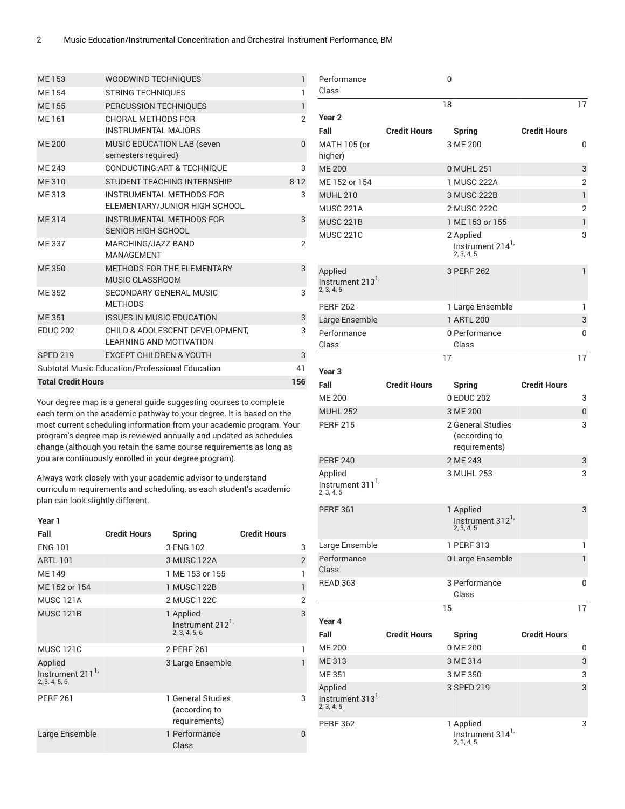| ME 153                    | <b>WOODWIND TECHNIQUES</b>                                        | 1              |
|---------------------------|-------------------------------------------------------------------|----------------|
| <b>ME154</b>              | <b>STRING TECHNIQUES</b>                                          | 1              |
| <b>ME155</b>              | PERCUSSION TECHNIQUES                                             | $\mathbf{1}$   |
| ME 161                    | CHORAL METHODS FOR<br><b>INSTRUMENTAL MAJORS</b>                  | $\overline{2}$ |
| <b>ME 200</b>             | <b>MUSIC EDUCATION LAB (seven</b><br>semesters required)          | $\Omega$       |
| MF 243                    | <b>CONDUCTING: ART &amp; TECHNIQUE</b>                            | 3              |
| ME 310                    | STUDENT TEACHING INTERNSHIP                                       | $8 - 12$       |
| ME 313                    | <b>INSTRUMENTAL METHODS FOR</b><br>ELEMENTARY/JUNIOR HIGH SCHOOL  | 3              |
| <b>ME314</b>              | <b>INSTRUMENTAL METHODS FOR</b><br><b>SENIOR HIGH SCHOOL</b>      | 3              |
| ME 337                    | MARCHING/JAZZ BAND<br><b>MANAGEMENT</b>                           | $\overline{2}$ |
| ME 350                    | METHODS FOR THE ELEMENTARY<br><b>MUSIC CLASSROOM</b>              | 3              |
| ME 352                    | SECONDARY GENERAL MUSIC<br><b>METHODS</b>                         | 3              |
| <b>ME 351</b>             | <b>ISSUES IN MUSIC EDUCATION</b>                                  | 3              |
| <b>EDUC 202</b>           | CHILD & ADOLESCENT DEVELOPMENT.<br><b>LEARNING AND MOTIVATION</b> | 3              |
| <b>SPED 219</b>           | <b>EXCEPT CHILDREN &amp; YOUTH</b>                                | 3              |
|                           | Subtotal Music Education/Professional Education                   | 41             |
| <b>Total Credit Hours</b> | 156                                                               |                |

Your degree map is a general guide suggesting courses to complete each term on the academic pathway to your degree. It is based on the most current scheduling information from your academic program. Your program's degree map is reviewed annually and updated as schedules change (although you retain the same course requirements as long as you are continuously enrolled in your degree program).

Always work closely with your academic advisor to understand curriculum requirements and scheduling, as each student's academic plan can look slightly different.

| Year 1                                                  |                     |                                                       |                     |                |
|---------------------------------------------------------|---------------------|-------------------------------------------------------|---------------------|----------------|
| Fall                                                    | <b>Credit Hours</b> | <b>Spring</b>                                         | <b>Credit Hours</b> |                |
| <b>ENG 101</b>                                          |                     | 3 ENG 102                                             |                     | 3              |
| <b>ARTL 101</b>                                         |                     | 3 MUSC 122A                                           |                     | $\overline{2}$ |
| ME 149                                                  |                     | 1 ME 153 or 155                                       |                     | 1              |
| ME 152 or 154                                           |                     | 1 MUSC 122B                                           |                     | 1              |
| <b>MUSC 121A</b>                                        |                     | 2 MUSC 122C                                           |                     | $\overline{2}$ |
| <b>MUSC 121B</b>                                        |                     | 1 Applied<br>Instrument 212 <sup>1</sup><br>2.3.4.5.6 |                     | 3              |
| <b>MUSC 121C</b>                                        |                     | 2 PERF 261                                            |                     | 1              |
| Applied<br>Instrument 211 <sup>1</sup><br>2, 3, 4, 5, 6 |                     | 3 Large Ensemble                                      |                     | 1              |
| <b>PERF 261</b>                                         |                     | 1 General Studies<br>(according to<br>requirements)   |                     | 3              |
| Large Ensemble                                          |                     | 1 Performance<br>Class                                |                     | 0              |
|                                                         |                     |                                                       |                     |                |

| Performance                                           |                     | 0                                                       |                     |              |
|-------------------------------------------------------|---------------------|---------------------------------------------------------|---------------------|--------------|
| Class                                                 |                     |                                                         |                     |              |
| Year <sub>2</sub>                                     |                     | 18                                                      |                     | 17           |
| Fall                                                  | <b>Credit Hours</b> | <b>Spring</b>                                           | <b>Credit Hours</b> |              |
| MATH 105 (or                                          |                     | 3 ME 200                                                |                     | 0            |
| higher)                                               |                     |                                                         |                     |              |
| <b>ME 200</b>                                         |                     | 0 MUHL 251                                              |                     | 3            |
| ME 152 or 154                                         |                     | 1 MUSC 222A                                             |                     | 2            |
| <b>MUHL 210</b>                                       |                     | 3 MUSC 222B                                             |                     | 1            |
| <b>MUSC 221A</b>                                      |                     | 2 MUSC 222C                                             |                     | 2            |
| <b>MUSC 221B</b>                                      |                     | 1 ME 153 or 155                                         |                     | 1            |
| <b>MUSC 221C</b>                                      |                     | 2 Applied<br>Instrument 214 <sup>1</sup><br>2, 3, 4, 5  |                     | 3            |
| Applied<br>Instrument 213 <sup>1</sup><br>2, 3, 4, 5  |                     | 3 PERF 262                                              |                     | $\mathbf{1}$ |
| <b>PERF 262</b>                                       |                     | 1 Large Ensemble                                        |                     | 1            |
| Large Ensemble                                        |                     | 1 ARTL 200                                              |                     | 3            |
| Performance<br>Class                                  |                     | 0 Performance<br>Class                                  |                     | 0            |
|                                                       |                     | 17                                                      |                     | 17           |
| Year <sub>3</sub>                                     |                     |                                                         |                     |              |
| Fall                                                  | <b>Credit Hours</b> | <b>Spring</b>                                           | <b>Credit Hours</b> |              |
| <b>ME 200</b>                                         |                     | 0 EDUC 202                                              |                     | 3            |
| <b>MUHL 252</b>                                       |                     | 3 ME 200                                                |                     | 0            |
| <b>PERF 215</b>                                       |                     | 2 General Studies<br>(according to<br>requirements)     |                     | 3            |
| <b>PERF 240</b>                                       |                     | 2 ME 243                                                |                     | 3            |
| Applied<br>Instrument 311 <sup>1,</sup><br>2, 3, 4, 5 |                     | 3 MUHL 253                                              |                     | 3            |
| <b>PERF 361</b>                                       |                     | 1 Applied<br>Instrument 312 <sup>1</sup><br>2, 3, 4, 5  |                     | 3            |
| Large Ensemble                                        |                     | 1 PERF 313                                              |                     | 1            |
| Performance<br>Class                                  |                     | 0 Large Ensemble                                        |                     | 1            |
| <b>READ 363</b>                                       |                     | 3 Performance                                           |                     | 0            |
|                                                       |                     | Class                                                   |                     |              |
|                                                       |                     | 15                                                      |                     | 17           |
| Year 4                                                |                     |                                                         |                     |              |
| Fall                                                  | <b>Credit Hours</b> | <b>Spring</b>                                           | <b>Credit Hours</b> |              |
| <b>ME 200</b>                                         |                     | 0 ME 200                                                |                     | 0            |
| <b>ME313</b>                                          |                     | 3 ME 314                                                |                     | 3            |
| <b>ME 351</b>                                         |                     | 3 ME 350                                                |                     | 3            |
| Applied<br>Instrument 313 <sup>1</sup><br>2, 3, 4, 5  |                     | 3 SPED 219                                              |                     | 3            |
| <b>PERF 362</b>                                       |                     | 1 Applied<br>Instrument 314 <sup>1,</sup><br>2, 3, 4, 5 |                     | 3            |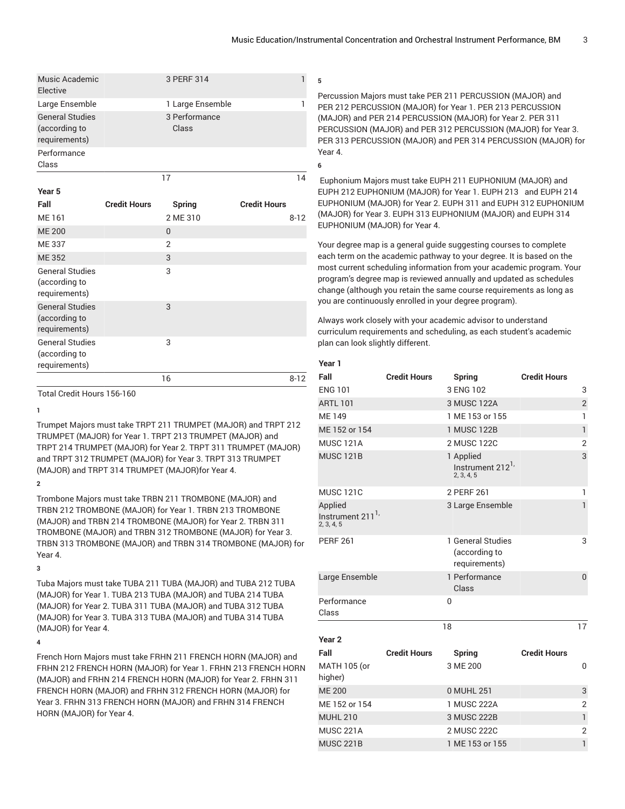| Music Academic<br>Elective                               | 3 PERF 314             |    |
|----------------------------------------------------------|------------------------|----|
| Large Ensemble                                           | 1 Large Ensemble       |    |
| <b>General Studies</b><br>(according to<br>requirements) | 3 Performance<br>Class |    |
| Performance<br>Class                                     |                        |    |
|                                                          |                        | 14 |

| Year 5                                                   |                     |                |                     |
|----------------------------------------------------------|---------------------|----------------|---------------------|
| Fall                                                     | <b>Credit Hours</b> | Spring         | <b>Credit Hours</b> |
| ME 161                                                   |                     | 2 ME 310       | $8 - 12$            |
| <b>ME 200</b>                                            |                     | 0              |                     |
| <b>ME337</b>                                             |                     | $\overline{2}$ |                     |
| <b>ME352</b>                                             |                     | 3              |                     |
| <b>General Studies</b><br>(according to<br>requirements) |                     | 3              |                     |
| <b>General Studies</b><br>(according to<br>requirements) |                     | 3              |                     |
| <b>General Studies</b><br>(according to<br>requirements) |                     | 3              |                     |
|                                                          |                     | 16             | $8 - 12$            |

Total Credit Hours 156-160

**1**

Trumpet Majors must take TRPT 211 TRUMPET (MAJOR) and TRPT 212 TRUMPET (MAJOR) for Year 1. TRPT 213 TRUMPET (MAJOR) and TRPT 214 TRUMPET (MAJOR) for Year 2. TRPT 311 TRUMPET (MAJOR) and TRPT 312 TRUMPET (MAJOR) for Year 3. TRPT 313 TRUMPET (MAJOR) and TRPT 314 TRUMPET (MAJOR)for Year 4.

**2**

Trombone Majors must take TRBN 211 TROMBONE (MAJOR) and TRBN 212 TROMBONE (MAJOR) for Year 1. TRBN 213 TROMBONE (MAJOR) and TRBN 214 TROMBONE (MAJOR) for Year 2. TRBN 311 TROMBONE (MAJOR) and TRBN 312 TROMBONE (MAJOR) for Year 3. TRBN 313 TROMBONE (MAJOR) and TRBN 314 TROMBONE (MAJOR) for Year 4.

**3**

Tuba Majors must take TUBA 211 TUBA (MAJOR) and TUBA 212 TUBA (MAJOR) for Year 1. TUBA 213 TUBA (MAJOR) and TUBA 214 TUBA (MAJOR) for Year 2. TUBA 311 TUBA (MAJOR) and TUBA 312 TUBA (MAJOR) for Year 3. TUBA 313 TUBA (MAJOR) and TUBA 314 TUBA (MAJOR) for Year 4.

**4**

French Horn Majors must take FRHN 211 FRENCH HORN (MAJOR) and FRHN 212 FRENCH HORN (MAJOR) for Year 1. FRHN 213 FRENCH HORN (MAJOR) and FRHN 214 FRENCH HORN (MAJOR) for Year 2. FRHN 311 FRENCH HORN (MAJOR) and FRHN 312 FRENCH HORN (MAJOR) for Year 3. FRHN 313 FRENCH HORN (MAJOR) and FRHN 314 FRENCH HORN (MAJOR) for Year 4.

Percussion Majors must take PER 211 PERCUSSION (MAJOR) and PER 212 PERCUSSION (MAJOR) for Year 1. PER 213 PERCUSSION (MAJOR) and PER 214 PERCUSSION (MAJOR) for Year 2. PER 311 PERCUSSION (MAJOR) and PER 312 PERCUSSION (MAJOR) for Year 3. PER 313 PERCUSSION (MAJOR) and PER 314 PERCUSSION (MAJOR) for Year 4.

Euphonium Majors must take EUPH 211 EUPHONIUM (MAJOR) and EUPH 212 EUPHONIUM (MAJOR) for Year 1. EUPH 213 and EUPH 214 EUPHONIUM (MAJOR) for Year 2. EUPH 311 and EUPH 312 EUPHONIUM (MAJOR) for Year 3. EUPH 313 EUPHONIUM (MAJOR) and EUPH 314 EUPHONIUM (MAJOR) for Year 4.

Your degree map is a general guide suggesting courses to complete each term on the academic pathway to your degree. It is based on the most current scheduling information from your academic program. Your program's degree map is reviewed annually and updated as schedules change (although you retain the same course requirements as long as you are continuously enrolled in your degree program).

Always work closely with your academic advisor to understand curriculum requirements and scheduling, as each student's academic plan can look slightly different.

#### **Year 1**

**5**

**6**

| Fall                                                  | <b>Credit Hours</b> | Spring                                                 | <b>Credit Hours</b> |                |
|-------------------------------------------------------|---------------------|--------------------------------------------------------|---------------------|----------------|
| <b>ENG 101</b>                                        |                     | 3 ENG 102                                              |                     | 3              |
| <b>ARTL 101</b>                                       |                     | 3 MUSC 122A                                            |                     | $\overline{2}$ |
| <b>ME149</b>                                          |                     | 1 ME 153 or 155                                        |                     | 1              |
| ME 152 or 154                                         |                     | 1 MUSC 122B                                            |                     | $\mathbf{1}$   |
| <b>MUSC 121A</b>                                      |                     | 2 MUSC 122C                                            |                     | $\overline{2}$ |
| <b>MUSC 121B</b>                                      |                     | 1 Applied<br>Instrument 212 <sup>1</sup><br>2, 3, 4, 5 |                     | 3              |
| <b>MUSC 121C</b>                                      |                     | 2 PERF 261                                             |                     | 1              |
| Applied<br>Instrument 211 <sup>1,</sup><br>2, 3, 4, 5 |                     | 3 Large Ensemble                                       |                     | $\mathbf{1}$   |
| <b>PERF 261</b>                                       |                     | 1 General Studies<br>(according to<br>requirements)    |                     | 3              |
| Large Ensemble                                        |                     | 1 Performance<br>Class                                 |                     | $\overline{0}$ |
| Performance<br>Class                                  |                     | $\mathbf{0}$                                           |                     |                |
|                                                       |                     | 18                                                     |                     | 17             |
| Year <sub>2</sub>                                     |                     |                                                        |                     |                |
| Fall                                                  | <b>Credit Hours</b> | Spring                                                 | <b>Credit Hours</b> |                |
| MATH 105 (or<br>higher)                               |                     | 3 ME 200                                               |                     | $\mathbf 0$    |
| <b>ME 200</b>                                         |                     | 0 MUHL 251                                             |                     | 3              |
| ME 152 or 154                                         |                     | 1 MUSC 222A                                            |                     | 2              |
| <b>MUHL 210</b>                                       |                     | 3 MUSC 222B                                            |                     | $\mathbf{1}$   |
| <b>MUSC 221A</b>                                      |                     | 2 MUSC 222C                                            |                     | $\overline{2}$ |
| <b>MUSC 221B</b>                                      |                     | 1 ME 153 or 155                                        |                     | $\mathbf{1}$   |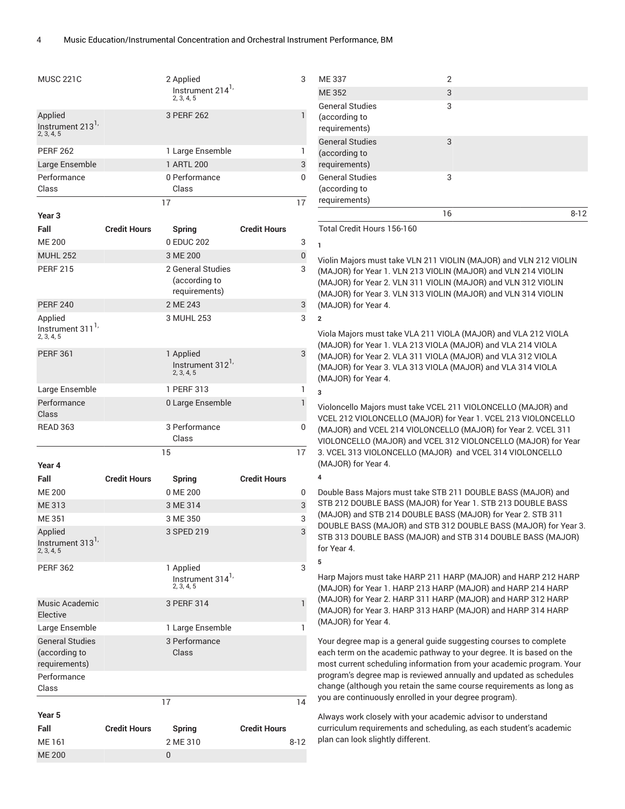| <b>MUSC 221C</b>                                      |                     | 2 Applied<br>Instrument 214 <sup>1,</sup><br>2, 3, 4, 5 |                     | 3        |
|-------------------------------------------------------|---------------------|---------------------------------------------------------|---------------------|----------|
| Applied<br>Instrument 213 <sup>1,</sup><br>2, 3, 4, 5 |                     | 3 PERF 262                                              |                     | 1        |
| <b>PERF 262</b>                                       |                     | 1 Large Ensemble                                        |                     | 1        |
| Large Ensemble                                        |                     | 1 ARTL 200                                              |                     | 3        |
| Performance                                           |                     | 0 Performance                                           |                     | 0        |
| Class                                                 |                     | Class                                                   |                     |          |
|                                                       |                     | 17                                                      |                     | 17       |
| Year <sub>3</sub>                                     |                     |                                                         |                     |          |
| Fall                                                  | <b>Credit Hours</b> | <b>Spring</b>                                           | <b>Credit Hours</b> |          |
| <b>ME 200</b>                                         |                     | 0 EDUC 202                                              |                     | 3        |
| <b>MUHL 252</b>                                       |                     | 3 ME 200                                                |                     | 0        |
| <b>PERF 215</b>                                       |                     | 2 General Studies                                       |                     | 3        |
|                                                       |                     | (according to                                           |                     |          |
|                                                       |                     | requirements)                                           |                     |          |
| <b>PERF 240</b>                                       |                     | 2 ME 243                                                |                     | 3        |
| Applied<br>Instrument 311 <sup>1</sup><br>2, 3, 4, 5  |                     | 3 MUHL 253                                              |                     | 3        |
| <b>PERF 361</b>                                       |                     | 1 Applied<br>Instrument 312 <sup>1,</sup><br>2, 3, 4, 5 |                     | 3        |
| Large Ensemble                                        |                     | 1 PERF 313                                              |                     | 1        |
| Performance<br>Class                                  |                     | 0 Large Ensemble                                        |                     | 1        |
|                                                       |                     |                                                         |                     |          |
| <b>READ 363</b>                                       |                     | 3 Performance<br>Class                                  |                     | 0        |
|                                                       |                     | 15                                                      |                     | 17       |
| Year 4                                                |                     |                                                         |                     |          |
| Fall                                                  | <b>Credit Hours</b> | <b>Spring</b>                                           | <b>Credit Hours</b> |          |
| <b>ME 200</b>                                         |                     | 0 ME 200                                                |                     | 0        |
| ME 313                                                |                     | 3 ME 314                                                |                     | 3        |
| <b>ME351</b>                                          |                     | 3 ME 350                                                |                     | 3        |
| Applied<br>Instrument 313 <sup>1</sup><br>2, 3, 4, 5  |                     | 3 SPED 219                                              |                     | 3        |
| <b>PERF 362</b>                                       |                     | 1 Applied<br>Instrument 314 <sup>1,</sup><br>2, 3, 4, 5 |                     | 3        |
| Music Academic<br>Elective                            |                     | 3 PERF 314                                              |                     | 1        |
| Large Ensemble                                        |                     | 1 Large Ensemble                                        |                     | 1        |
| <b>General Studies</b>                                |                     | 3 Performance                                           |                     |          |
| (according to<br>requirements)                        |                     | Class                                                   |                     |          |
| Performance                                           |                     |                                                         |                     |          |
| Class                                                 |                     |                                                         |                     |          |
|                                                       |                     | 17                                                      |                     | 14       |
| Year 5                                                |                     |                                                         |                     |          |
| Fall                                                  | <b>Credit Hours</b> | <b>Spring</b>                                           | <b>Credit Hours</b> |          |
| ME 161<br><b>ME 200</b>                               |                     | 2 ME 310<br>0                                           |                     | $8 - 12$ |

|                                                          | 16 | 8-12 |
|----------------------------------------------------------|----|------|
| <b>General Studies</b><br>(according to<br>requirements) | 3  |      |
| <b>General Studies</b><br>(according to<br>requirements) | 3  |      |
| <b>General Studies</b><br>(according to<br>requirements) | 3  |      |
| <b>ME352</b>                                             | 3  |      |
| ME 337                                                   | 2  |      |

Total Credit Hours 156-160

**1**

**2**

**3**

**4**

**5**

Violin Majors must take VLN 211 VIOLIN (MAJOR) and VLN 212 VIOLIN (MAJOR) for Year 1. VLN 213 VIOLIN (MAJOR) and VLN 214 VIOLIN (MAJOR) for Year 2. VLN 311 VIOLIN (MAJOR) and VLN 312 VIOLIN (MAJOR) for Year 3. VLN 313 VIOLIN (MAJOR) and VLN 314 VIOLIN (MAJOR) for Year 4.

Viola Majors must take VLA 211 VIOLA (MAJOR) and VLA 212 VIOLA (MAJOR) for Year 1. VLA 213 VIOLA (MAJOR) and VLA 214 VIOLA (MAJOR) for Year 2. VLA 311 VIOLA (MAJOR) and VLA 312 VIOLA (MAJOR) for Year 3. VLA 313 VIOLA (MAJOR) and VLA 314 VIOLA (MAJOR) for Year 4.

Violoncello Majors must take VCEL 211 VIOLONCELLO (MAJOR) and VCEL 212 VIOLONCELLO (MAJOR) for Year 1. VCEL 213 VIOLONCELLO (MAJOR) and VCEL 214 VIOLONCELLO (MAJOR) for Year 2. VCEL 311 VIOLONCELLO (MAJOR) and VCEL 312 VIOLONCELLO (MAJOR) for Year 3. VCEL 313 VIOLONCELLO (MAJOR) and VCEL 314 VIOLONCELLO (MAJOR) for Year 4.

Double Bass Majors must take STB 211 DOUBLE BASS (MAJOR) and STB 212 DOUBLE BASS (MAJOR) for Year 1. STB 213 DOUBLE BASS (MAJOR) and STB 214 DOUBLE BASS (MAJOR) for Year 2. STB 311 DOUBLE BASS (MAJOR) and STB 312 DOUBLE BASS (MAJOR) for Year 3. STB 313 DOUBLE BASS (MAJOR) and STB 314 DOUBLE BASS (MAJOR) for Year 4.

Harp Majors must take HARP 211 HARP (MAJOR) and HARP 212 HARP (MAJOR) for Year 1. HARP 213 HARP (MAJOR) and HARP 214 HARP (MAJOR) for Year 2. HARP 311 HARP (MAJOR) and HARP 312 HARP (MAJOR) for Year 3. HARP 313 HARP (MAJOR) and HARP 314 HARP (MAJOR) for Year 4.

Your degree map is a general guide suggesting courses to complete each term on the academic pathway to your degree. It is based on the most current scheduling information from your academic program. Your program's degree map is reviewed annually and updated as schedules change (although you retain the same course requirements as long as you are continuously enrolled in your degree program).

Always work closely with your academic advisor to understand curriculum requirements and scheduling, as each student's academic plan can look slightly different.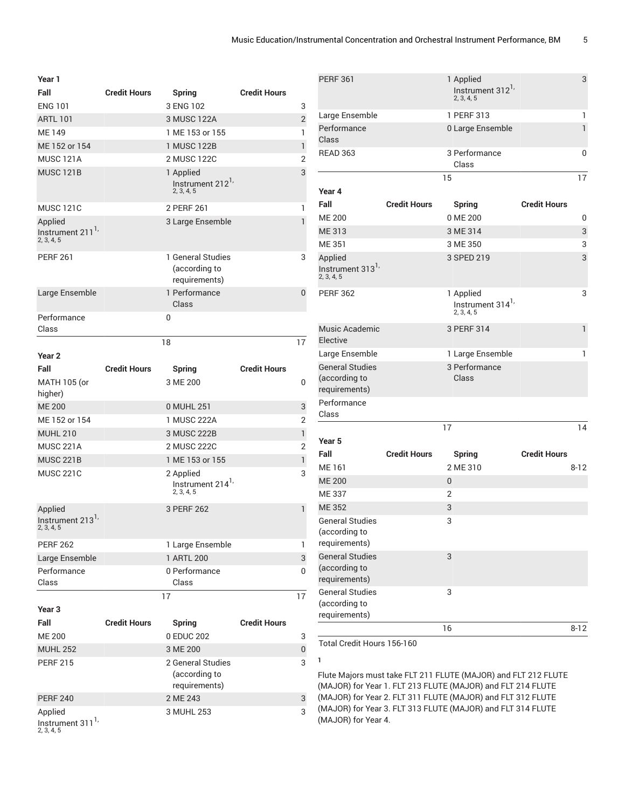| Year 1                                                |                     |                                                         |                     |                |
|-------------------------------------------------------|---------------------|---------------------------------------------------------|---------------------|----------------|
| Fall                                                  | <b>Credit Hours</b> | <b>Spring</b>                                           | <b>Credit Hours</b> |                |
| <b>ENG 101</b>                                        |                     | 3 ENG 102                                               |                     | 3              |
| <b>ARTL 101</b>                                       |                     | 3 MUSC 122A                                             |                     | $\overline{2}$ |
| ME 149                                                |                     | 1 ME 153 or 155                                         |                     | 1              |
| ME 152 or 154                                         |                     | 1 MUSC 122B                                             |                     | $\mathbf{1}$   |
| <b>MUSC 121A</b>                                      |                     | 2 MUSC 122C                                             |                     | 2              |
| <b>MUSC 121B</b>                                      |                     | 1 Applied<br>Instrument 212 <sup>1,</sup><br>2, 3, 4, 5 |                     | 3              |
| <b>MUSC 121C</b>                                      |                     | 2 PERF 261                                              |                     | 1              |
| Applied<br>Instrument 211 <sup>1</sup><br>2, 3, 4, 5  |                     | 3 Large Ensemble                                        |                     | 1              |
| <b>PERF 261</b>                                       |                     | 1 General Studies<br>(according to<br>requirements)     |                     | 3              |
| Large Ensemble                                        |                     | 1 Performance<br>Class                                  |                     | 0              |
| Performance<br>Class                                  |                     | 0                                                       |                     |                |
|                                                       |                     | 18                                                      |                     | 17             |
| Year <sub>2</sub>                                     |                     |                                                         |                     |                |
| Fall                                                  | <b>Credit Hours</b> | <b>Spring</b>                                           | <b>Credit Hours</b> |                |
| <b>MATH 105 (or</b><br>higher)                        |                     | 3 ME 200                                                |                     | 0              |
| <b>ME 200</b>                                         |                     | 0 MUHL 251                                              |                     | 3              |
| ME 152 or 154                                         |                     | 1 MUSC 222A                                             |                     | 2              |
| <b>MUHL 210</b>                                       |                     | 3 MUSC 222B                                             |                     | $\mathbf{1}$   |
| <b>MUSC 221A</b>                                      |                     | 2 MUSC 222C                                             |                     | 2              |
| <b>MUSC 221B</b>                                      |                     | 1 ME 153 or 155                                         |                     | 1              |
| <b>MUSC 221C</b>                                      |                     | 2 Applied<br>Instrument 214 <sup>1,</sup><br>2, 3, 4, 5 |                     | 3              |
| Applied<br>Instrument 213 <sup>1,</sup><br>2, 3, 4, 5 |                     | 3 PERF 262                                              |                     | 1              |
| <b>PERF 262</b>                                       |                     | 1 Large Ensemble                                        |                     | 1              |
| Large Ensemble                                        |                     | 1 ARTL 200                                              |                     | 3              |
| Performance<br>Class                                  |                     | 0 Performance<br>Class                                  |                     | 0              |
| Year <sub>3</sub>                                     |                     | 17                                                      |                     | 17             |
| Fall                                                  | <b>Credit Hours</b> | <b>Spring</b>                                           | <b>Credit Hours</b> |                |
| <b>ME 200</b>                                         |                     | 0 EDUC 202                                              |                     | 3              |
| <b>MUHL 252</b>                                       |                     | 3 ME 200                                                |                     | 0              |
| <b>PERF 215</b>                                       |                     | 2 General Studies<br>(according to<br>requirements)     |                     | 3              |
| <b>PERF 240</b>                                       |                     | 2 ME 243                                                |                     | 3              |
| Applied<br>Instrument 311 <sup>1,</sup><br>2, 3, 4, 5 |                     | 3 MUHL 253                                              |                     | 3              |

| <b>PERF 361</b>                           |                     | 1 Applied<br>Instrument 312 <sup>1,</sup><br>2, 3, 4, 5 |                     | 3        |
|-------------------------------------------|---------------------|---------------------------------------------------------|---------------------|----------|
| Large Ensemble                            |                     | 1 PERF 313                                              |                     | 1        |
| Performance                               |                     | 0 Large Ensemble                                        |                     | 1        |
| Class                                     |                     |                                                         |                     |          |
| <b>READ 363</b>                           |                     | 3 Performance<br>Class                                  |                     | 0        |
|                                           |                     | 15                                                      |                     | 17       |
| Year 4                                    |                     |                                                         |                     |          |
| Fall                                      | <b>Credit Hours</b> | <b>Spring</b>                                           | <b>Credit Hours</b> |          |
| <b>ME 200</b>                             |                     | 0 ME 200                                                |                     | 0        |
| ME 313                                    |                     | 3 ME 314                                                |                     | 3        |
| <b>ME 351</b>                             |                     | 3 ME 350                                                |                     | 3        |
| Applied                                   |                     | 3 SPED 219                                              |                     | 3        |
| Instrument 313 <sup>1</sup><br>2, 3, 4, 5 |                     |                                                         |                     |          |
| <b>PERF 362</b>                           |                     | 1 Applied                                               |                     | 3        |
|                                           |                     | Instrument 314 <sup>1,</sup><br>2, 3, 4, 5              |                     |          |
| Music Academic<br>Elective                |                     | 3 PERF 314                                              |                     | 1        |
| Large Ensemble                            |                     | 1 Large Ensemble                                        |                     | 1        |
| <b>General Studies</b>                    |                     | 3 Performance                                           |                     |          |
| (according to                             |                     | Class                                                   |                     |          |
| requirements)                             |                     |                                                         |                     |          |
| Performance                               |                     |                                                         |                     |          |
| Class                                     |                     |                                                         |                     |          |
|                                           |                     | 17                                                      |                     | 14       |
| Year <sub>5</sub>                         |                     |                                                         |                     |          |
| Fall                                      | <b>Credit Hours</b> | <b>Spring</b>                                           | <b>Credit Hours</b> |          |
| ME 161                                    |                     | 2 ME 310                                                |                     | $8 - 12$ |
| <b>ME 200</b>                             |                     | 0                                                       |                     |          |
| ME 337                                    |                     | 2                                                       |                     |          |
| <b>ME 352</b>                             |                     | 3                                                       |                     |          |
| <b>General Studies</b>                    |                     | 3                                                       |                     |          |
| (according to<br>requirements)            |                     |                                                         |                     |          |
| <b>General Studies</b>                    |                     | 3                                                       |                     |          |
| (according to<br>requirements)            |                     |                                                         |                     |          |
| <b>General Studies</b>                    |                     | 3                                                       |                     |          |
| (according to                             |                     |                                                         |                     |          |
| requirements)                             |                     |                                                         |                     |          |
|                                           |                     | 16                                                      |                     | $8 - 12$ |
| Total Credit Hours 156-160                |                     |                                                         |                     |          |

**1**

Flute Majors must take FLT 211 FLUTE (MAJOR) and FLT 212 FLUTE (MAJOR) for Year 1. FLT 213 FLUTE (MAJOR) and FLT 214 FLUTE (MAJOR) for Year 2. FLT 311 FLUTE (MAJOR) and FLT 312 FLUTE (MAJOR) for Year 3. FLT 313 FLUTE (MAJOR) and FLT 314 FLUTE (MAJOR) for Year 4.